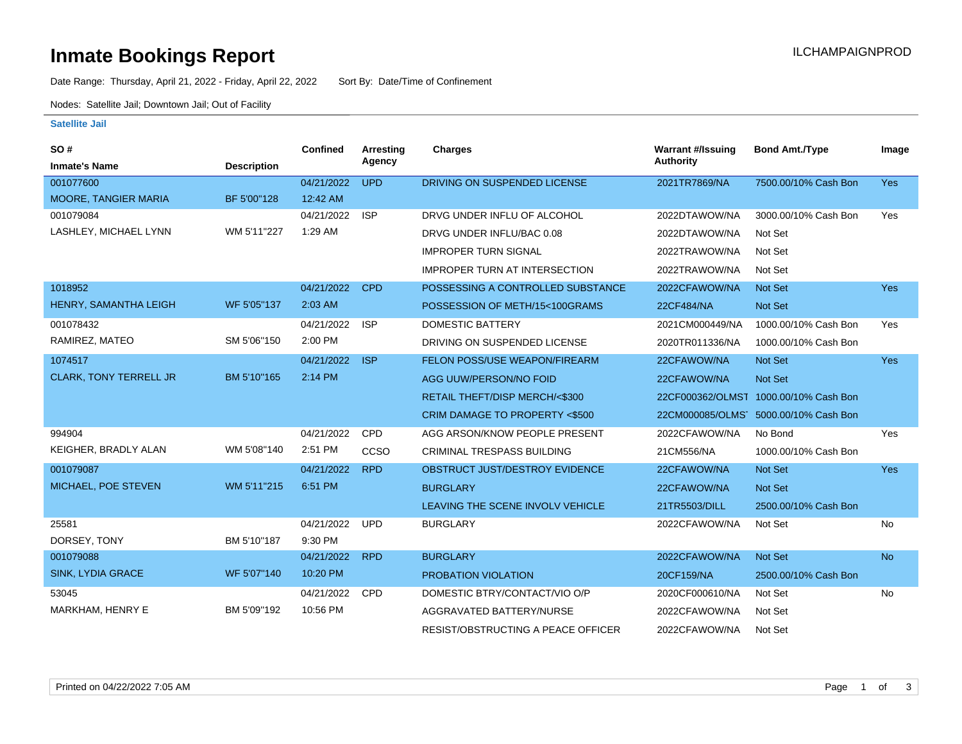### **Inmate Bookings Report International Contract Contract Contract Contract Contract Contract Contract Contract Contract Contract Contract Contract Contract Contract Contract Contract Contract Contract Contract Contract Co**

Date Range: Thursday, April 21, 2022 - Friday, April 22, 2022 Sort By: Date/Time of Confinement

Nodes: Satellite Jail; Downtown Jail; Out of Facility

#### **Satellite Jail**

| SO#                           |                    | <b>Confined</b> | Arresting  | Charges                              | <b>Warrant #/Issuing</b> | <b>Bond Amt./Type</b>                 | Image      |
|-------------------------------|--------------------|-----------------|------------|--------------------------------------|--------------------------|---------------------------------------|------------|
| <b>Inmate's Name</b>          | <b>Description</b> |                 | Agency     |                                      | Authority                |                                       |            |
| 001077600                     |                    | 04/21/2022      | <b>UPD</b> | DRIVING ON SUSPENDED LICENSE         | 2021TR7869/NA            | 7500.00/10% Cash Bon                  | <b>Yes</b> |
| <b>MOORE, TANGIER MARIA</b>   | BF 5'00"128        | 12:42 AM        |            |                                      |                          |                                       |            |
| 001079084                     |                    | 04/21/2022      | <b>ISP</b> | DRVG UNDER INFLU OF ALCOHOL          | 2022DTAWOW/NA            | 3000.00/10% Cash Bon                  | Yes        |
| LASHLEY, MICHAEL LYNN         | WM 5'11"227        | 1:29 AM         |            | DRVG UNDER INFLU/BAC 0.08            | 2022DTAWOW/NA            | Not Set                               |            |
|                               |                    |                 |            | <b>IMPROPER TURN SIGNAL</b>          | 2022TRAWOW/NA            | Not Set                               |            |
|                               |                    |                 |            | <b>IMPROPER TURN AT INTERSECTION</b> | 2022TRAWOW/NA            | Not Set                               |            |
| 1018952                       |                    | 04/21/2022      | <b>CPD</b> | POSSESSING A CONTROLLED SUBSTANCE    | 2022CFAWOW/NA            | <b>Not Set</b>                        | <b>Yes</b> |
| HENRY, SAMANTHA LEIGH         | WF 5'05"137        | 2:03 AM         |            | POSSESSION OF METH/15<100GRAMS       | 22CF484/NA               | <b>Not Set</b>                        |            |
| 001078432                     |                    | 04/21/2022      | <b>ISP</b> | <b>DOMESTIC BATTERY</b>              | 2021CM000449/NA          | 1000.00/10% Cash Bon                  | Yes        |
| RAMIREZ, MATEO                | SM 5'06"150        | 2:00 PM         |            | DRIVING ON SUSPENDED LICENSE         | 2020TR011336/NA          | 1000.00/10% Cash Bon                  |            |
| 1074517                       |                    | 04/21/2022      | <b>ISP</b> | FELON POSS/USE WEAPON/FIREARM        | 22CFAWOW/NA              | Not Set                               | <b>Yes</b> |
| <b>CLARK, TONY TERRELL JR</b> | BM 5'10"165        | 2:14 PM         |            | AGG UUW/PERSON/NO FOID               | 22CFAWOW/NA              | <b>Not Set</b>                        |            |
|                               |                    |                 |            | RETAIL THEFT/DISP MERCH/<\$300       |                          | 22CF000362/OLMST 1000.00/10% Cash Bon |            |
|                               |                    |                 |            | CRIM DAMAGE TO PROPERTY <\$500       |                          | 22CM000085/OLMS 5000.00/10% Cash Bon  |            |
| 994904                        |                    | 04/21/2022      | CPD        | AGG ARSON/KNOW PEOPLE PRESENT        | 2022CFAWOW/NA            | No Bond                               | Yes        |
| KEIGHER, BRADLY ALAN          | WM 5'08"140        | 2:51 PM         | CCSO       | CRIMINAL TRESPASS BUILDING           | 21CM556/NA               | 1000.00/10% Cash Bon                  |            |
| 001079087                     |                    | 04/21/2022      | <b>RPD</b> | OBSTRUCT JUST/DESTROY EVIDENCE       | 22CFAWOW/NA              | <b>Not Set</b>                        | <b>Yes</b> |
| MICHAEL, POE STEVEN           | WM 5'11"215        | 6:51 PM         |            | <b>BURGLARY</b>                      | 22CFAWOW/NA              | <b>Not Set</b>                        |            |
|                               |                    |                 |            | LEAVING THE SCENE INVOLV VEHICLE     | 21TR5503/DILL            | 2500.00/10% Cash Bon                  |            |
| 25581                         |                    | 04/21/2022      | <b>UPD</b> | <b>BURGLARY</b>                      | 2022CFAWOW/NA            | Not Set                               | No         |
| DORSEY, TONY                  | BM 5'10"187        | 9:30 PM         |            |                                      |                          |                                       |            |
| 001079088                     |                    | 04/21/2022      | <b>RPD</b> | <b>BURGLARY</b>                      | 2022CFAWOW/NA            | <b>Not Set</b>                        | <b>No</b>  |
| <b>SINK, LYDIA GRACE</b>      | WF 5'07"140        | 10:20 PM        |            | PROBATION VIOLATION                  | 20CF159/NA               | 2500.00/10% Cash Bon                  |            |
| 53045                         |                    | 04/21/2022      | <b>CPD</b> | DOMESTIC BTRY/CONTACT/VIO O/P        | 2020CF000610/NA          | Not Set                               | No         |
| MARKHAM, HENRY E              | BM 5'09"192        | 10:56 PM        |            | AGGRAVATED BATTERY/NURSE             | 2022CFAWOW/NA            | Not Set                               |            |
|                               |                    |                 |            | RESIST/OBSTRUCTING A PEACE OFFICER   | 2022CFAWOW/NA            | Not Set                               |            |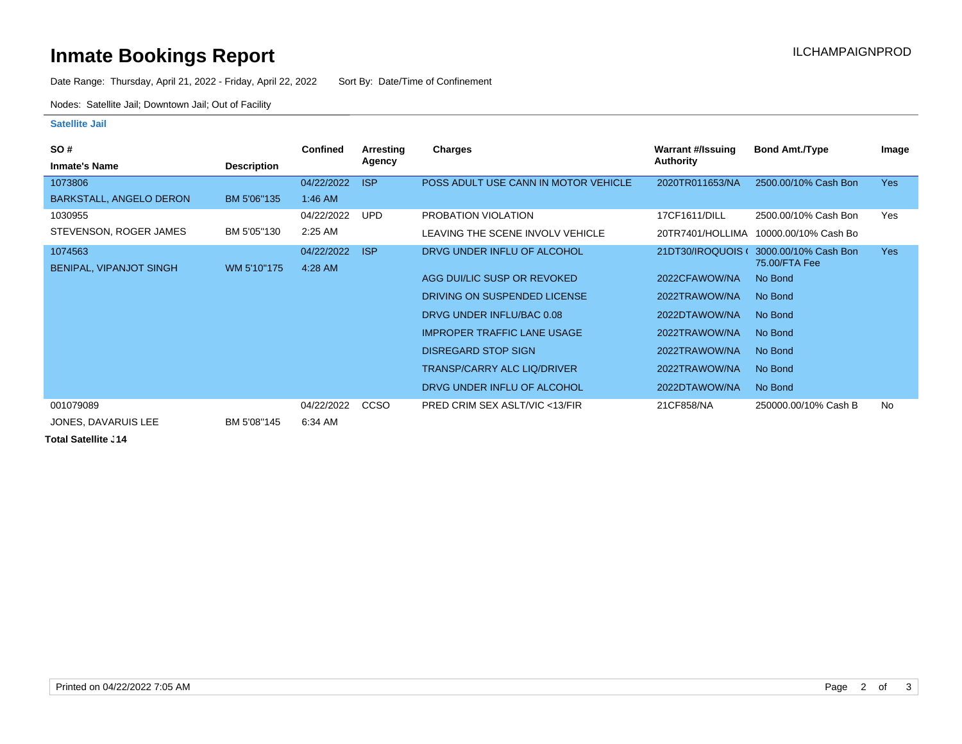# **Inmate Bookings Report Installation Control Control Control Control Control Control Control Control Control Control Control Control Control Control Control Control Control Control Control Control Control Control Control**

Date Range: Thursday, April 21, 2022 - Friday, April 22, 2022 Sort By: Date/Time of Confinement

Nodes: Satellite Jail; Downtown Jail; Out of Facility

#### **Satellite Jail**

| <b>SO#</b>                     |                    | <b>Confined</b> | Arresting   | Charges                                  | Warrant #/Issuing | <b>Bond Amt./Type</b>    | Image      |
|--------------------------------|--------------------|-----------------|-------------|------------------------------------------|-------------------|--------------------------|------------|
| <b>Inmate's Name</b>           | <b>Description</b> |                 | Agency      |                                          | Authority         |                          |            |
| 1073806                        |                    | 04/22/2022      | <b>ISP</b>  | POSS ADULT USE CANN IN MOTOR VEHICLE     | 2020TR011653/NA   | 2500.00/10% Cash Bon     | <b>Yes</b> |
| BARKSTALL, ANGELO DERON        | BM 5'06"135        | 1:46 AM         |             |                                          |                   |                          |            |
| 1030955                        |                    | 04/22/2022      | <b>UPD</b>  | PROBATION VIOLATION                      | 17CF1611/DILL     | 2500.00/10% Cash Bon     | Yes        |
| STEVENSON, ROGER JAMES         | BM 5'05"130        | 2:25 AM         |             | LEAVING THE SCENE INVOLV VEHICLE         | 20TR7401/HOLLIMA  | 10000.00/10% Cash Bo     |            |
| 1074563                        |                    | 04/22/2022      | <b>ISP</b>  | DRVG UNDER INFLU OF ALCOHOL              | 21DT30/IROQUOIS ( | 3000.00/10% Cash Bon     | <b>Yes</b> |
| <b>BENIPAL, VIPANJOT SINGH</b> | WM 5'10"175        | 4:28 AM         |             | AGG DUI/LIC SUSP OR REVOKED              | 2022CFAWOW/NA     | 75.00/FTA Fee<br>No Bond |            |
|                                |                    |                 |             |                                          |                   |                          |            |
|                                |                    |                 |             | DRIVING ON SUSPENDED LICENSE             | 2022TRAWOW/NA     | No Bond                  |            |
|                                |                    |                 |             | DRVG UNDER INFLU/BAC 0.08                | 2022DTAWOW/NA     | No Bond                  |            |
|                                |                    |                 |             | <b>IMPROPER TRAFFIC LANE USAGE</b>       | 2022TRAWOW/NA     | No Bond                  |            |
|                                |                    |                 |             | <b>DISREGARD STOP SIGN</b>               | 2022TRAWOW/NA     | No Bond                  |            |
|                                |                    |                 |             | <b>TRANSP/CARRY ALC LIQ/DRIVER</b>       | 2022TRAWOW/NA     | No Bond                  |            |
|                                |                    |                 |             | DRVG UNDER INFLU OF ALCOHOL              | 2022DTAWOW/NA     | No Bond                  |            |
| 001079089                      |                    | 04/22/2022      | <b>CCSO</b> | <b>PRED CRIM SEX ASLT/VIC &lt;13/FIR</b> | 21CF858/NA        | 250000.00/10% Cash B     | <b>No</b>  |
| JONES, DAVARUIS LEE            | BM 5'08"145        | 6:34 AM         |             |                                          |                   |                          |            |

**Total Satellite J14**